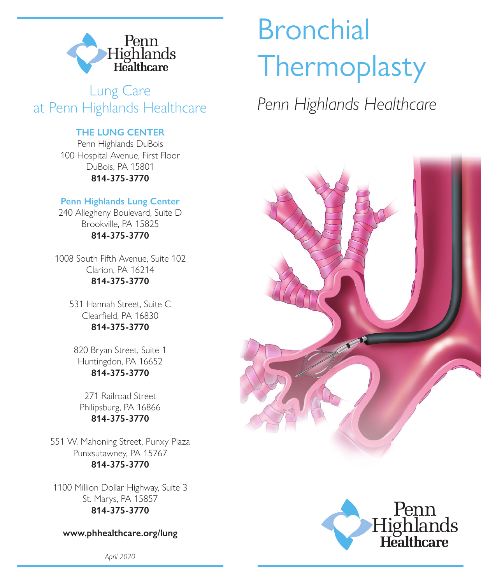

**Lung Care<br>
Highlands Healthcare** Penn Highlands Healthcare at Penn Highlands Healthcare

### **THE LUNG CENTER**

Penn Highlands DuBois 100 Hospital Avenue, First Floor DuBois, PA 15801 **814-375-3770**

### **Penn Highlands Lung Center**

240 Allegheny Boulevard, Suite D Brookville, PA 15825 **814-375-3770**

1008 South Fifth Avenue, Suite 102 Clarion, PA 16214 **814-375-3770**

> 531 Hannah Street, Suite C Clearfield, PA 16830 **814-375-3770**

820 Bryan Street, Suite 1 Huntingdon, PA 16652 **814-375-3770** 

271 Railroad Street Philipsburg, PA 16866 **814-375-3770**

551 W. Mahoning Street, Punxy Plaza Punxsutawney, PA 15767 **814-375-3770**

1100 Million Dollar Highway, Suite 3 St. Marys, PA 15857 **814-375-3770**

#### **www.phhealthcare.org/lung**

*April 2020*

# Bronchial **Thermoplasty**